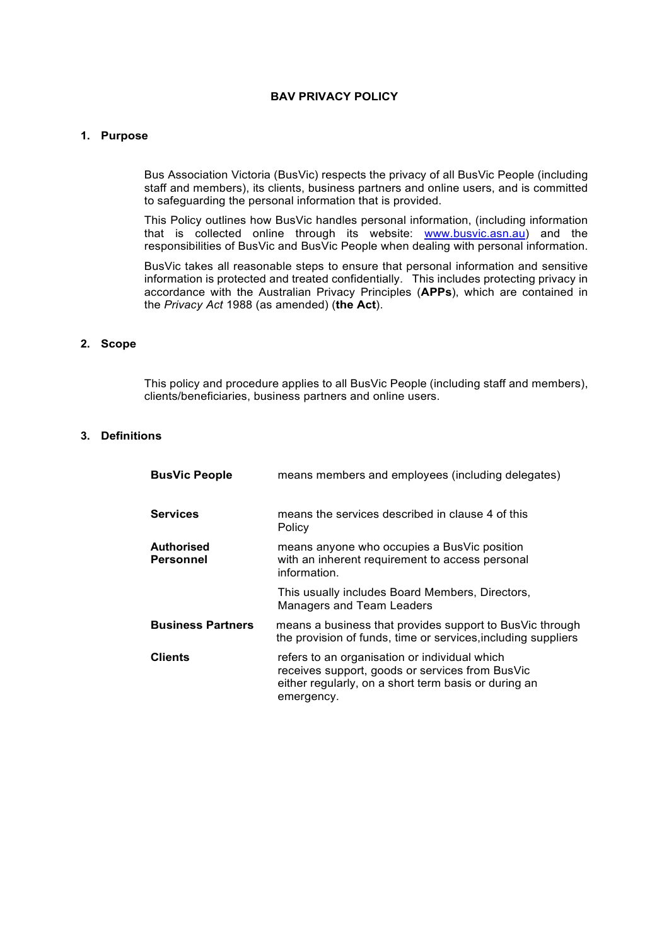## **BAV PRIVACY POLICY**

#### **1. Purpose**

Bus Association Victoria (BusVic) respects the privacy of all BusVic People (including staff and members), its clients, business partners and online users, and is committed to safeguarding the personal information that is provided.

This Policy outlines how BusVic handles personal information, (including information that is collected online through its website: www.busvic.asn.au) and the responsibilities of BusVic and BusVic People when dealing with personal information.

BusVic takes all reasonable steps to ensure that personal information and sensitive information is protected and treated confidentially. This includes protecting privacy in accordance with the Australian Privacy Principles (**APPs**), which are contained in the *Privacy Act* 1988 (as amended) (**the Act**).

### **2. Scope**

This policy and procedure applies to all BusVic People (including staff and members), clients/beneficiaries, business partners and online users.

### **3. Definitions**

| <b>BusVic People</b>           | means members and employees (including delegates)                                                                                                                      |
|--------------------------------|------------------------------------------------------------------------------------------------------------------------------------------------------------------------|
| <b>Services</b>                | means the services described in clause 4 of this<br>Policy                                                                                                             |
| <b>Authorised</b><br>Personnel | means anyone who occupies a BusVic position<br>with an inherent requirement to access personal<br>information.                                                         |
|                                | This usually includes Board Members, Directors,<br>Managers and Team Leaders                                                                                           |
| <b>Business Partners</b>       | means a business that provides support to BusVic through<br>the provision of funds, time or services, including suppliers                                              |
| Clients                        | refers to an organisation or individual which<br>receives support, goods or services from BusVic<br>either regularly, on a short term basis or during an<br>emergency. |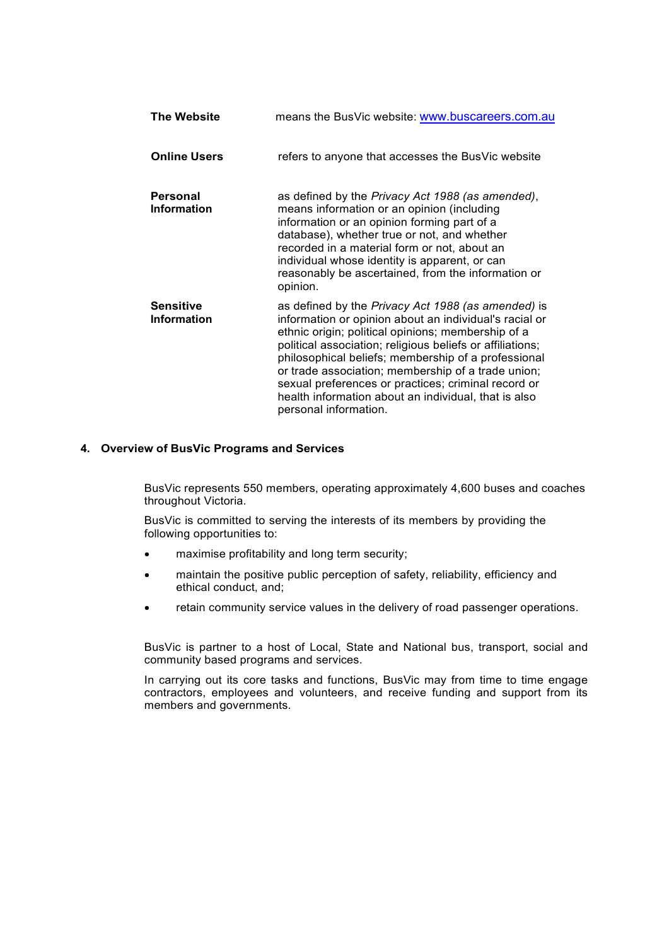| <b>The Website</b>                     | means the BusVic website: www.buscareers.com.au                                                                                                                                                                                                                                                                                                                                                                                                                                      |
|----------------------------------------|--------------------------------------------------------------------------------------------------------------------------------------------------------------------------------------------------------------------------------------------------------------------------------------------------------------------------------------------------------------------------------------------------------------------------------------------------------------------------------------|
| <b>Online Users</b>                    | refers to anyone that accesses the BusVic website                                                                                                                                                                                                                                                                                                                                                                                                                                    |
| <b>Personal</b><br><b>Information</b>  | as defined by the Privacy Act 1988 (as amended),<br>means information or an opinion (including<br>information or an opinion forming part of a<br>database), whether true or not, and whether<br>recorded in a material form or not, about an<br>individual whose identity is apparent, or can<br>reasonably be ascertained, from the information or<br>opinion.                                                                                                                      |
| <b>Sensitive</b><br><b>Information</b> | as defined by the Privacy Act 1988 (as amended) is<br>information or opinion about an individual's racial or<br>ethnic origin; political opinions; membership of a<br>political association; religious beliefs or affiliations;<br>philosophical beliefs; membership of a professional<br>or trade association; membership of a trade union;<br>sexual preferences or practices; criminal record or<br>health information about an individual, that is also<br>personal information. |

### **4. Overview of BusVic Programs and Services**

BusVic represents 550 members, operating approximately 4,600 buses and coaches throughout Victoria.

BusVic is committed to serving the interests of its members by providing the following opportunities to:

- maximise profitability and long term security;
- maintain the positive public perception of safety, reliability, efficiency and ethical conduct, and;
- retain community service values in the delivery of road passenger operations.

BusVic is partner to a host of Local, State and National bus, transport, social and community based programs and services.

In carrying out its core tasks and functions, BusVic may from time to time engage contractors, employees and volunteers, and receive funding and support from its members and governments.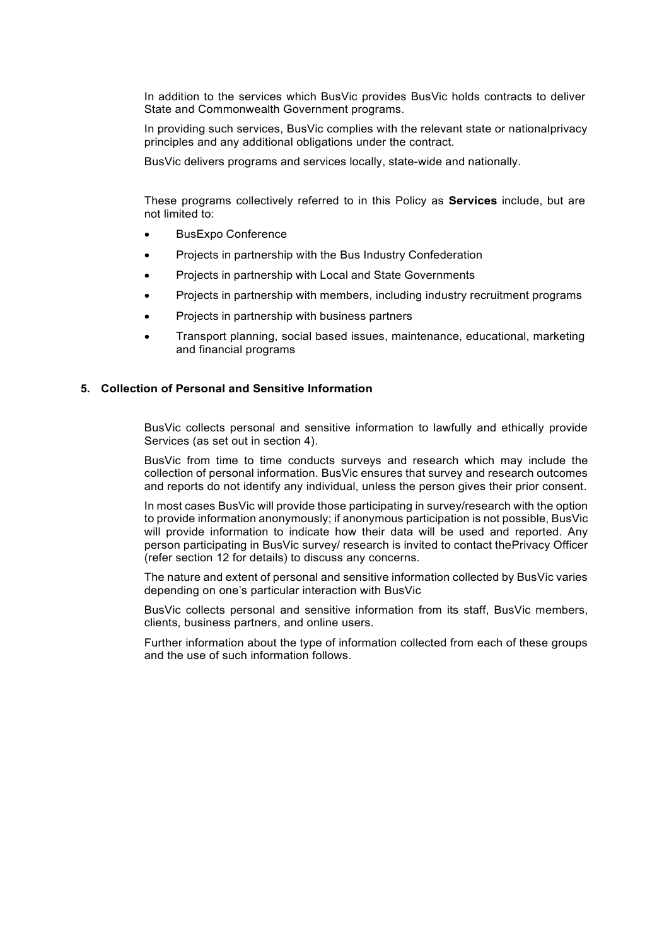In addition to the services which BusVic provides BusVic holds contracts to deliver State and Commonwealth Government programs.

In providing such services, BusVic complies with the relevant state or nationalprivacy principles and any additional obligations under the contract.

BusVic delivers programs and services locally, state-wide and nationally.

These programs collectively referred to in this Policy as **Services** include, but are not limited to:

- BusExpo Conference
- Projects in partnership with the Bus Industry Confederation
- Projects in partnership with Local and State Governments
- Projects in partnership with members, including industry recruitment programs
- Projects in partnership with business partners
- Transport planning, social based issues, maintenance, educational, marketing and financial programs

## **5. Collection of Personal and Sensitive Information**

BusVic collects personal and sensitive information to lawfully and ethically provide Services (as set out in section 4).

BusVic from time to time conducts surveys and research which may include the collection of personal information. BusVic ensures that survey and research outcomes and reports do not identify any individual, unless the person gives their prior consent.

In most cases BusVic will provide those participating in survey/research with the option to provide information anonymously; if anonymous participation is not possible, BusVic will provide information to indicate how their data will be used and reported. Any person participating in BusVic survey/ research is invited to contact thePrivacy Officer (refer section 12 for details) to discuss any concerns.

The nature and extent of personal and sensitive information collected by BusVic varies depending on one's particular interaction with BusVic

BusVic collects personal and sensitive information from its staff, BusVic members, clients, business partners, and online users.

Further information about the type of information collected from each of these groups and the use of such information follows.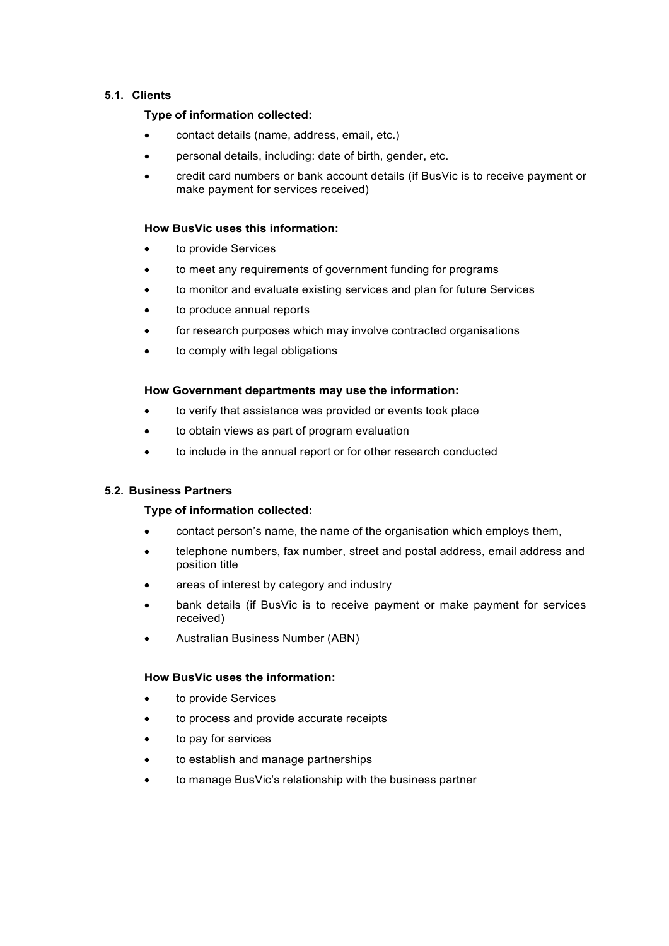# **5.1. Clients**

## **Type of information collected:**

- contact details (name, address, email, etc.)
- personal details, including: date of birth, gender, etc.
- credit card numbers or bank account details (if BusVic is to receive payment or make payment for services received)

## **How BusVic uses this information:**

- to provide Services
- to meet any requirements of government funding for programs
- to monitor and evaluate existing services and plan for future Services
- to produce annual reports
- for research purposes which may involve contracted organisations
- to comply with legal obligations

## **How Government departments may use the information:**

- to verify that assistance was provided or events took place
- to obtain views as part of program evaluation
- to include in the annual report or for other research conducted

## **5.2. Business Partners**

## **Type of information collected:**

- contact person's name, the name of the organisation which employs them,
- telephone numbers, fax number, street and postal address, email address and position title
- areas of interest by category and industry
- bank details (if BusVic is to receive payment or make payment for services received)
- Australian Business Number (ABN)

## **How BusVic uses the information:**

- to provide Services
- to process and provide accurate receipts
- to pay for services
- to establish and manage partnerships
- to manage BusVic's relationship with the business partner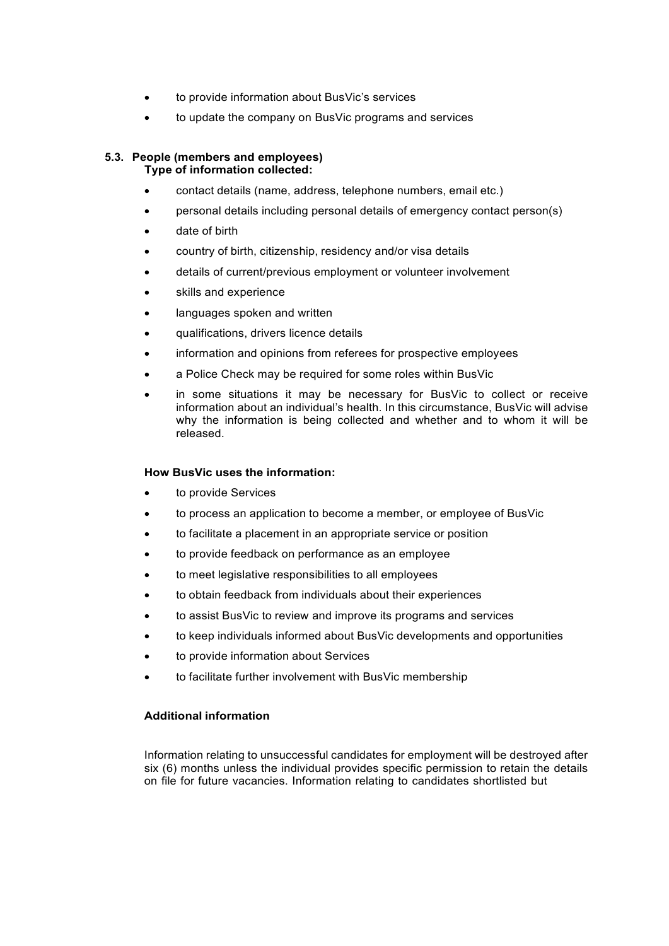- to provide information about BusVic's services
- to update the company on BusVic programs and services

#### **5.3. People (members and employees) Type of information collected:**

- contact details (name, address, telephone numbers, email etc.)
- personal details including personal details of emergency contact person(s)
- date of birth
- country of birth, citizenship, residency and/or visa details
- details of current/previous employment or volunteer involvement
- skills and experience
- languages spoken and written
- qualifications, drivers licence details
- information and opinions from referees for prospective employees
- a Police Check may be required for some roles within BusVic
- in some situations it may be necessary for BusVic to collect or receive information about an individual's health. In this circumstance, BusVic will advise why the information is being collected and whether and to whom it will be released.

### **How BusVic uses the information:**

- to provide Services
- to process an application to become a member, or employee of BusVic
- to facilitate a placement in an appropriate service or position
- to provide feedback on performance as an employee
- to meet legislative responsibilities to all employees
- to obtain feedback from individuals about their experiences
- to assist BusVic to review and improve its programs and services
- to keep individuals informed about BusVic developments and opportunities
- to provide information about Services
- to facilitate further involvement with BusVic membership

## **Additional information**

Information relating to unsuccessful candidates for employment will be destroyed after six (6) months unless the individual provides specific permission to retain the details on file for future vacancies. Information relating to candidates shortlisted but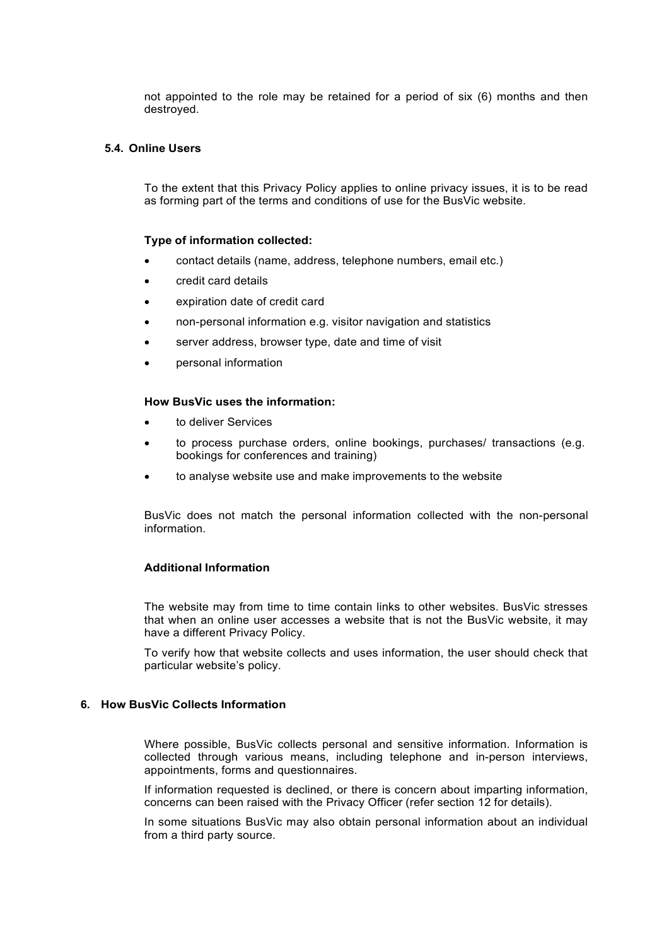not appointed to the role may be retained for a period of six (6) months and then destroyed.

#### **5.4. Online Users**

To the extent that this Privacy Policy applies to online privacy issues, it is to be read as forming part of the terms and conditions of use for the BusVic website.

#### **Type of information collected:**

- contact details (name, address, telephone numbers, email etc.)
- credit card details
- expiration date of credit card
- non-personal information e.g. visitor navigation and statistics
- server address, browser type, date and time of visit
- personal information

### **How BusVic uses the information:**

- to deliver Services
- to process purchase orders, online bookings, purchases/ transactions (e.g. bookings for conferences and training)
- to analyse website use and make improvements to the website

BusVic does not match the personal information collected with the non-personal information.

#### **Additional Information**

The website may from time to time contain links to other websites. BusVic stresses that when an online user accesses a website that is not the BusVic website, it may have a different Privacy Policy.

To verify how that website collects and uses information, the user should check that particular website's policy.

## **6. How BusVic Collects Information**

Where possible, BusVic collects personal and sensitive information. Information is collected through various means, including telephone and in-person interviews, appointments, forms and questionnaires.

If information requested is declined, or there is concern about imparting information, concerns can been raised with the Privacy Officer (refer section 12 for details).

In some situations BusVic may also obtain personal information about an individual from a third party source.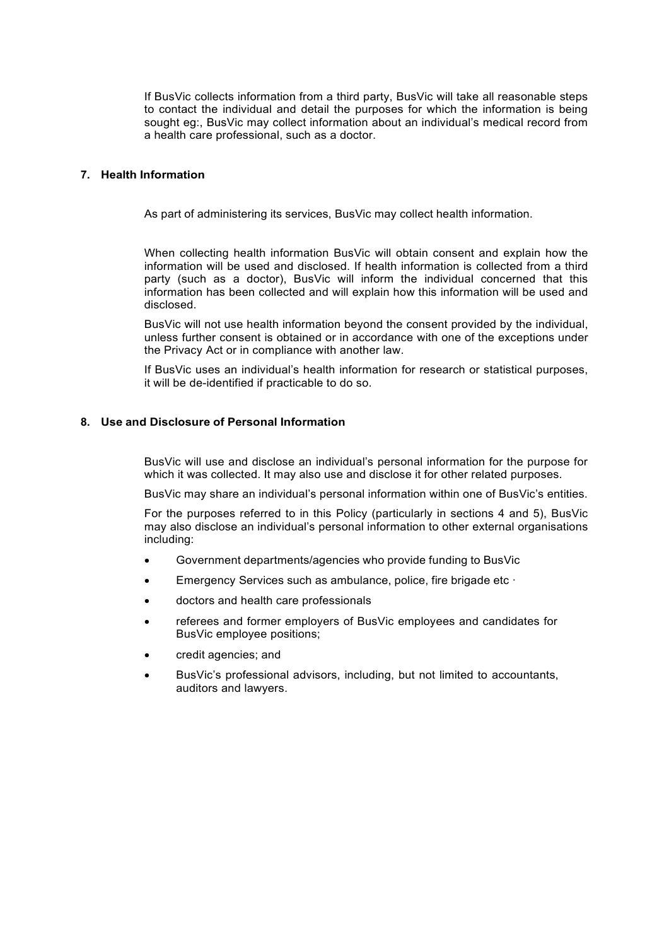If BusVic collects information from a third party, BusVic will take all reasonable steps to contact the individual and detail the purposes for which the information is being sought eg:, BusVic may collect information about an individual's medical record from a health care professional, such as a doctor.

## **7. Health Information**

As part of administering its services, BusVic may collect health information.

When collecting health information BusVic will obtain consent and explain how the information will be used and disclosed. If health information is collected from a third party (such as a doctor), BusVic will inform the individual concerned that this information has been collected and will explain how this information will be used and disclosed.

BusVic will not use health information beyond the consent provided by the individual, unless further consent is obtained or in accordance with one of the exceptions under the Privacy Act or in compliance with another law.

If BusVic uses an individual's health information for research or statistical purposes, it will be de-identified if practicable to do so.

#### **8. Use and Disclosure of Personal Information**

BusVic will use and disclose an individual's personal information for the purpose for which it was collected. It may also use and disclose it for other related purposes.

BusVic may share an individual's personal information within one of BusVic's entities.

For the purposes referred to in this Policy (particularly in sections 4 and 5), BusVic may also disclose an individual's personal information to other external organisations including:

- Government departments/agencies who provide funding to BusVic
- Emergency Services such as ambulance, police, fire brigade etc ·
- doctors and health care professionals
- referees and former employers of BusVic employees and candidates for BusVic employee positions;
- credit agencies; and
- BusVic's professional advisors, including, but not limited to accountants, auditors and lawyers.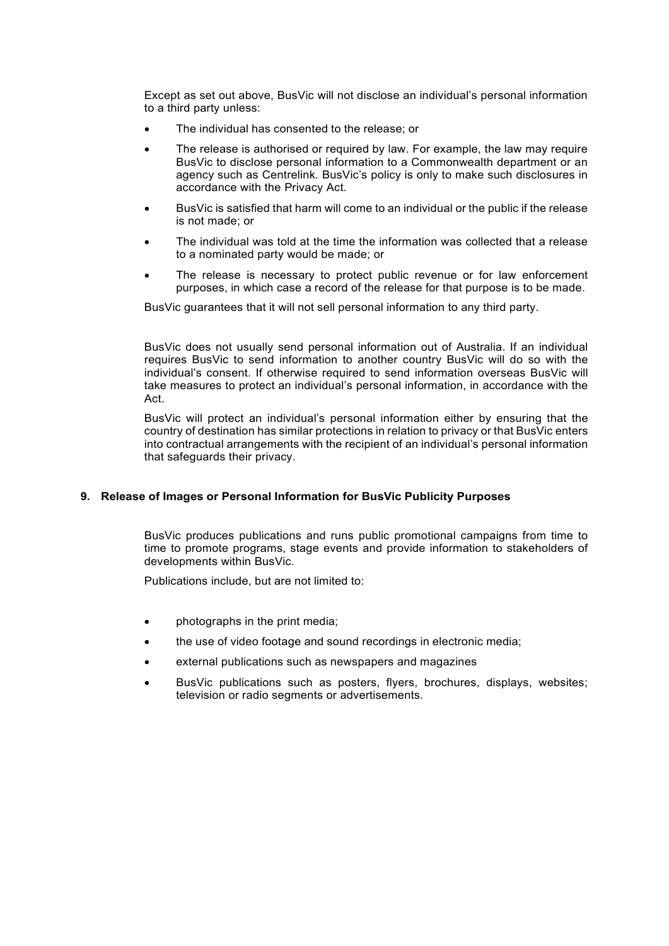Except as set out above, BusVic will not disclose an individual's personal information to a third party unless:

- The individual has consented to the release; or
- The release is authorised or required by law. For example, the law may require BusVic to disclose personal information to a Commonwealth department or an agency such as Centrelink. BusVic's policy is only to make such disclosures in accordance with the Privacy Act.
- BusVic is satisfied that harm will come to an individual or the public if the release is not made; or
- The individual was told at the time the information was collected that a release to a nominated party would be made; or
- The release is necessary to protect public revenue or for law enforcement purposes, in which case a record of the release for that purpose is to be made.

BusVic guarantees that it will not sell personal information to any third party.

BusVic does not usually send personal information out of Australia. If an individual requires BusVic to send information to another country BusVic will do so with the individual's consent. If otherwise required to send information overseas BusVic will take measures to protect an individual's personal information, in accordance with the Act.

BusVic will protect an individual's personal information either by ensuring that the country of destination has similar protections in relation to privacy or that BusVic enters into contractual arrangements with the recipient of an individual's personal information that safeguards their privacy.

### **9. Release of Images or Personal Information for BusVic Publicity Purposes**

BusVic produces publications and runs public promotional campaigns from time to time to promote programs, stage events and provide information to stakeholders of developments within BusVic.

Publications include, but are not limited to:

- photographs in the print media;
- the use of video footage and sound recordings in electronic media;
- external publications such as newspapers and magazines
- BusVic publications such as posters, flyers, brochures, displays, websites; television or radio segments or advertisements.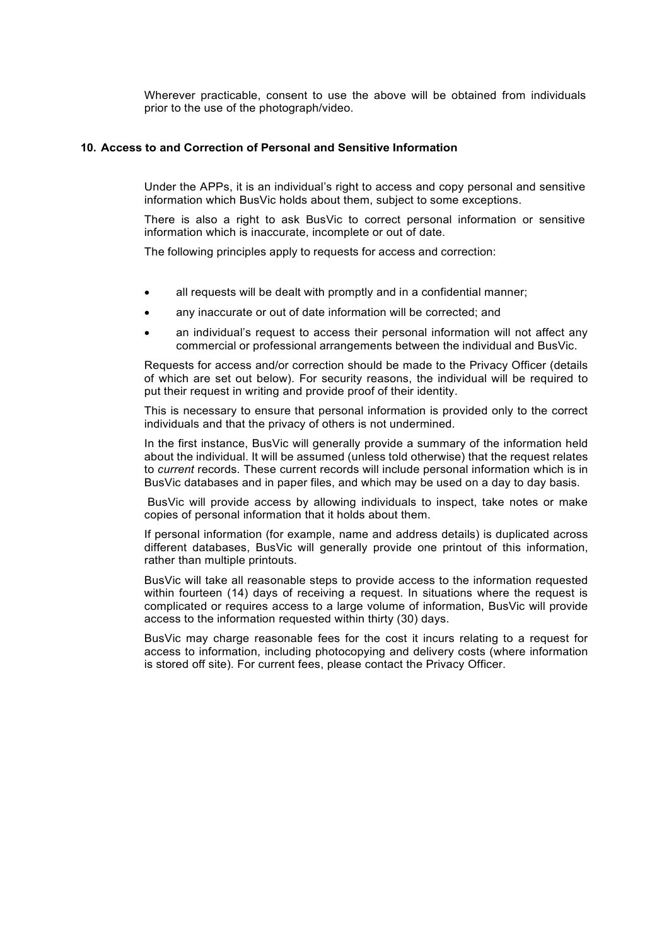Wherever practicable, consent to use the above will be obtained from individuals prior to the use of the photograph/video.

#### **10. Access to and Correction of Personal and Sensitive Information**

Under the APPs, it is an individual's right to access and copy personal and sensitive information which BusVic holds about them, subject to some exceptions.

There is also a right to ask BusVic to correct personal information or sensitive information which is inaccurate, incomplete or out of date.

The following principles apply to requests for access and correction:

- all requests will be dealt with promptly and in a confidential manner;
- any inaccurate or out of date information will be corrected; and
- an individual's request to access their personal information will not affect any commercial or professional arrangements between the individual and BusVic.

Requests for access and/or correction should be made to the Privacy Officer (details of which are set out below). For security reasons, the individual will be required to put their request in writing and provide proof of their identity.

This is necessary to ensure that personal information is provided only to the correct individuals and that the privacy of others is not undermined.

In the first instance, BusVic will generally provide a summary of the information held about the individual. It will be assumed (unless told otherwise) that the request relates to *current* records. These current records will include personal information which is in BusVic databases and in paper files, and which may be used on a day to day basis.

BusVic will provide access by allowing individuals to inspect, take notes or make copies of personal information that it holds about them.

If personal information (for example, name and address details) is duplicated across different databases, BusVic will generally provide one printout of this information, rather than multiple printouts.

BusVic will take all reasonable steps to provide access to the information requested within fourteen (14) days of receiving a request. In situations where the request is complicated or requires access to a large volume of information, BusVic will provide access to the information requested within thirty (30) days.

BusVic may charge reasonable fees for the cost it incurs relating to a request for access to information, including photocopying and delivery costs (where information is stored off site). For current fees, please contact the Privacy Officer.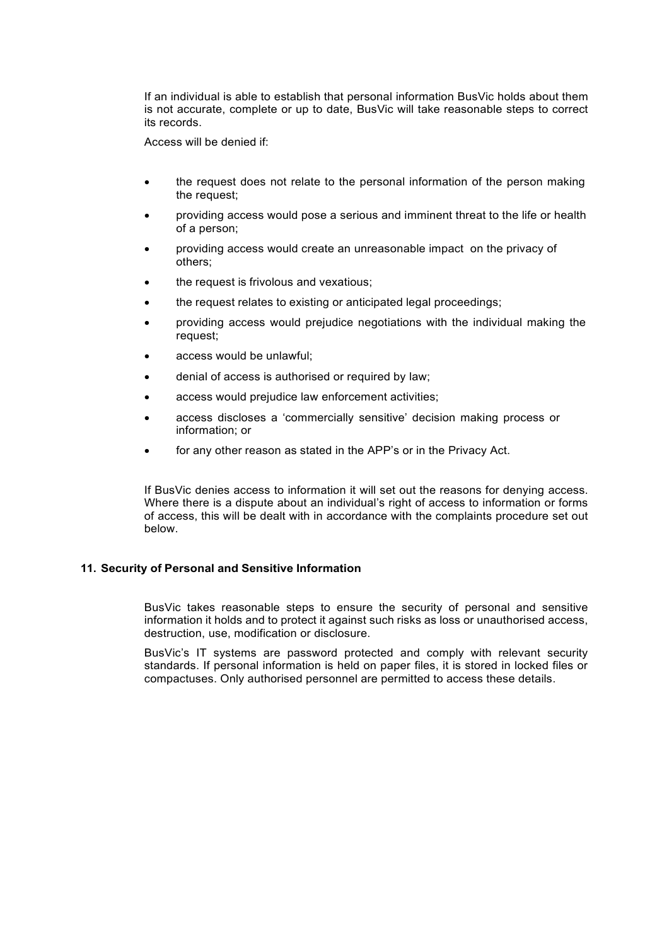If an individual is able to establish that personal information BusVic holds about them is not accurate, complete or up to date, BusVic will take reasonable steps to correct its records.

Access will be denied if:

- the request does not relate to the personal information of the person making the request;
- providing access would pose a serious and imminent threat to the life or health of a person;
- providing access would create an unreasonable impact on the privacy of others;
- the request is frivolous and vexatious;
- the request relates to existing or anticipated legal proceedings;
- providing access would prejudice negotiations with the individual making the request;
- access would be unlawful;
- denial of access is authorised or required by law;
- access would prejudice law enforcement activities;
- access discloses a 'commercially sensitive' decision making process or information; or
- for any other reason as stated in the APP's or in the Privacy Act.

If BusVic denies access to information it will set out the reasons for denying access. Where there is a dispute about an individual's right of access to information or forms of access, this will be dealt with in accordance with the complaints procedure set out below.

#### **11. Security of Personal and Sensitive Information**

BusVic takes reasonable steps to ensure the security of personal and sensitive information it holds and to protect it against such risks as loss or unauthorised access, destruction, use, modification or disclosure.

BusVic's IT systems are password protected and comply with relevant security standards. If personal information is held on paper files, it is stored in locked files or compactuses. Only authorised personnel are permitted to access these details.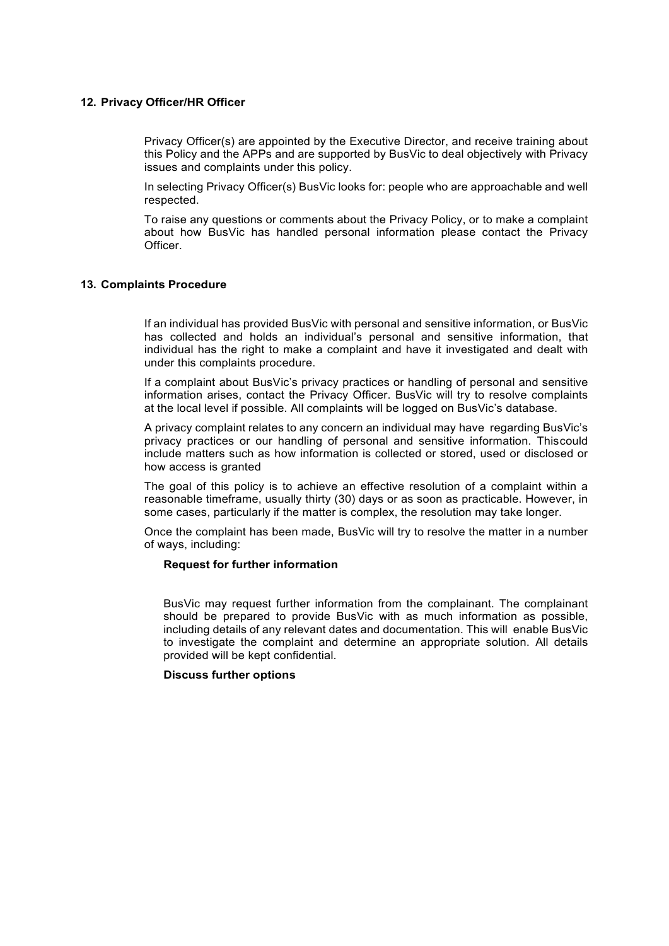#### **12. Privacy Officer/HR Officer**

Privacy Officer(s) are appointed by the Executive Director, and receive training about this Policy and the APPs and are supported by BusVic to deal objectively with Privacy issues and complaints under this policy.

In selecting Privacy Officer(s) BusVic looks for: people who are approachable and well respected.

To raise any questions or comments about the Privacy Policy, or to make a complaint about how BusVic has handled personal information please contact the Privacy Officer.

### **13. Complaints Procedure**

If an individual has provided BusVic with personal and sensitive information, or BusVic has collected and holds an individual's personal and sensitive information, that individual has the right to make a complaint and have it investigated and dealt with under this complaints procedure.

If a complaint about BusVic's privacy practices or handling of personal and sensitive information arises, contact the Privacy Officer. BusVic will try to resolve complaints at the local level if possible. All complaints will be logged on BusVic's database.

A privacy complaint relates to any concern an individual may have regarding BusVic's privacy practices or our handling of personal and sensitive information. Thiscould include matters such as how information is collected or stored, used or disclosed or how access is granted

The goal of this policy is to achieve an effective resolution of a complaint within a reasonable timeframe, usually thirty (30) days or as soon as practicable. However, in some cases, particularly if the matter is complex, the resolution may take longer.

Once the complaint has been made, BusVic will try to resolve the matter in a number of ways, including:

#### **Request for further information**

BusVic may request further information from the complainant. The complainant should be prepared to provide BusVic with as much information as possible, including details of any relevant dates and documentation. This will enable BusVic to investigate the complaint and determine an appropriate solution. All details provided will be kept confidential.

#### **Discuss further options**